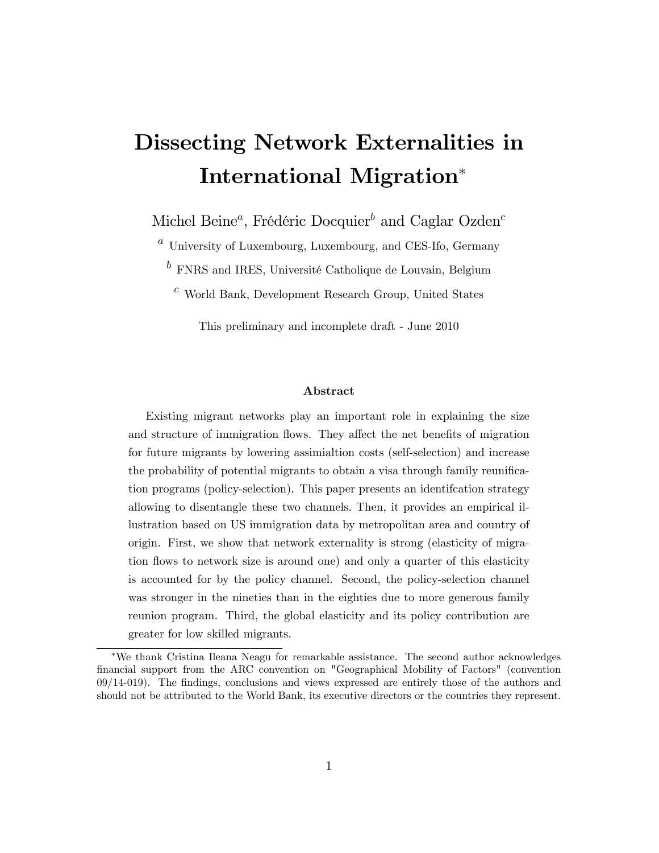# Dissecting Network Externalities in International Migration

Michel Beine<sup>a</sup>, Frédéric Docquier<sup>b</sup> and Caglar Ozden<sup>c</sup>

 $a$  University of Luxembourg, Luxembourg, and CES-Ifo, Germany

 $b$  FNRS and IRES, Université Catholique de Louvain, Belgium

 $c$  World Bank, Development Research Group, United States

This preliminary and incomplete draft - June 2010

#### Abstract

Existing migrant networks play an important role in explaining the size and structure of immigration flows. They affect the net benefits of migration for future migrants by lowering assimialtion costs (self-selection) and increase the probability of potential migrants to obtain a visa through family reunification programs (policy-selection). This paper presents an identifcation strategy allowing to disentangle these two channels. Then, it provides an empirical illustration based on US immigration data by metropolitan area and country of origin. First, we show that network externality is strong (elasticity of migration flows to network size is around one) and only a quarter of this elasticity is accounted for by the policy channel. Second, the policy-selection channel was stronger in the nineties than in the eighties due to more generous family reunion program. Third, the global elasticity and its policy contribution are greater for low skilled migrants.

We thank Cristina Ileana Neagu for remarkable assistance. The second author acknowledges financial support from the ARC convention on "Geographical Mobility of Factors" (convention  $09/14-019$ ). The findings, conclusions and views expressed are entirely those of the authors and should not be attributed to the World Bank, its executive directors or the countries they represent.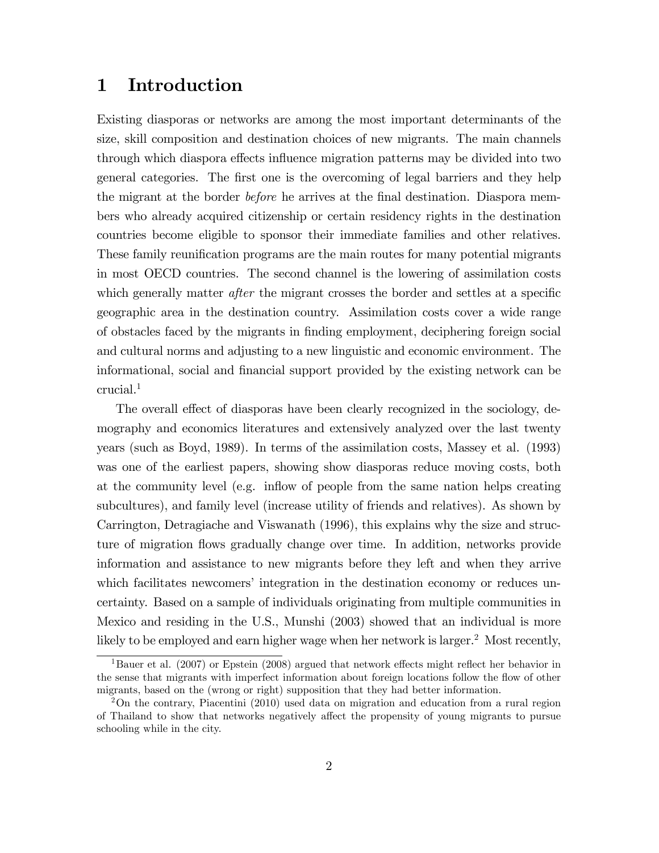# 1 Introduction

Existing diasporas or networks are among the most important determinants of the size, skill composition and destination choices of new migrants. The main channels through which diaspora effects influence migration patterns may be divided into two general categories. The first one is the overcoming of legal barriers and they help the migrant at the border *before* he arrives at the final destination. Diaspora members who already acquired citizenship or certain residency rights in the destination countries become eligible to sponsor their immediate families and other relatives. These family reunification programs are the main routes for many potential migrants in most OECD countries. The second channel is the lowering of assimilation costs which generally matter *after* the migrant crosses the border and settles at a specific geographic area in the destination country. Assimilation costs cover a wide range of obstacles faced by the migrants in Önding employment, deciphering foreign social and cultural norms and adjusting to a new linguistic and economic environment. The informational, social and Önancial support provided by the existing network can be crucial.<sup>1</sup>

The overall effect of diasporas have been clearly recognized in the sociology, demography and economics literatures and extensively analyzed over the last twenty years (such as Boyd, 1989). In terms of the assimilation costs, Massey et al. (1993) was one of the earliest papers, showing show diasporas reduce moving costs, both at the community level (e.g. inflow of people from the same nation helps creating subcultures), and family level (increase utility of friends and relatives). As shown by Carrington, Detragiache and Viswanath (1996), this explains why the size and structure of migration áows gradually change over time. In addition, networks provide information and assistance to new migrants before they left and when they arrive which facilitates newcomers' integration in the destination economy or reduces uncertainty. Based on a sample of individuals originating from multiple communities in Mexico and residing in the U.S., Munshi (2003) showed that an individual is more likely to be employed and earn higher wage when her network is larger.<sup>2</sup> Most recently,

<sup>&</sup>lt;sup>1</sup>Bauer et al. (2007) or Epstein (2008) argued that network effects might reflect her behavior in the sense that migrants with imperfect information about foreign locations follow the flow of other migrants, based on the (wrong or right) supposition that they had better information.

<sup>2</sup>On the contrary, Piacentini (2010) used data on migration and education from a rural region of Thailand to show that networks negatively a§ect the propensity of young migrants to pursue schooling while in the city.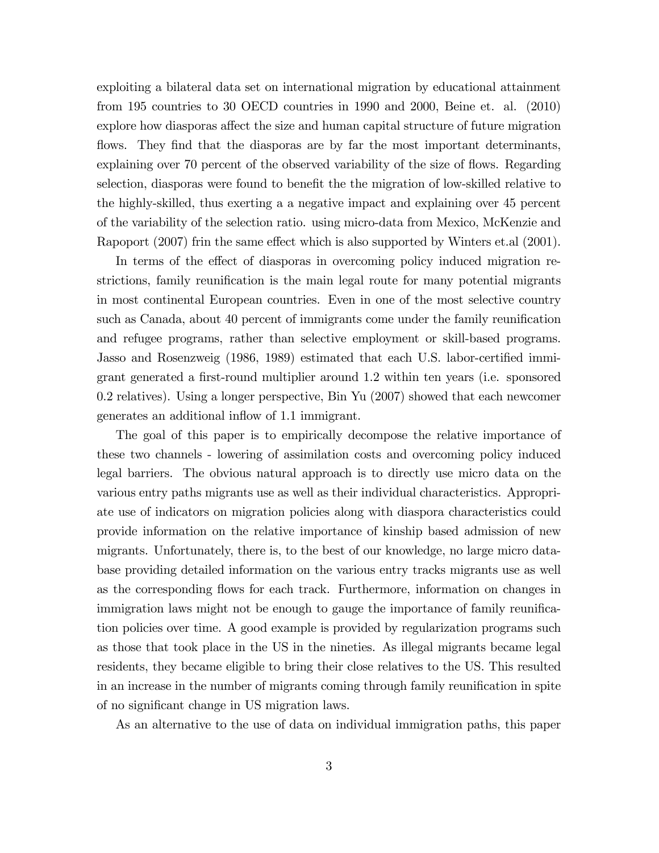exploiting a bilateral data set on international migration by educational attainment from 195 countries to 30 OECD countries in 1990 and 2000, Beine et. al. (2010) explore how diasporas affect the size and human capital structure of future migration flows. They find that the diasporas are by far the most important determinants, explaining over 70 percent of the observed variability of the size of flows. Regarding selection, diasporas were found to benefit the the migration of low-skilled relative to the highly-skilled, thus exerting a a negative impact and explaining over 45 percent of the variability of the selection ratio. using micro-data from Mexico, McKenzie and Rapoport (2007) frin the same effect which is also supported by Winters et.al (2001).

In terms of the effect of diasporas in overcoming policy induced migration restrictions, family reunification is the main legal route for many potential migrants in most continental European countries. Even in one of the most selective country such as Canada, about 40 percent of immigrants come under the family reunification and refugee programs, rather than selective employment or skill-based programs. Jasso and Rosenzweig (1986, 1989) estimated that each U.S. labor-certified immigrant generated a first-round multiplier around 1.2 within ten years (i.e. sponsored 0.2 relatives). Using a longer perspective, Bin Yu (2007) showed that each newcomer generates an additional inflow of 1.1 immigrant.

The goal of this paper is to empirically decompose the relative importance of these two channels - lowering of assimilation costs and overcoming policy induced legal barriers. The obvious natural approach is to directly use micro data on the various entry paths migrants use as well as their individual characteristics. Appropriate use of indicators on migration policies along with diaspora characteristics could provide information on the relative importance of kinship based admission of new migrants. Unfortunately, there is, to the best of our knowledge, no large micro database providing detailed information on the various entry tracks migrants use as well as the corresponding flows for each track. Furthermore, information on changes in immigration laws might not be enough to gauge the importance of family reunification policies over time. A good example is provided by regularization programs such as those that took place in the US in the nineties. As illegal migrants became legal residents, they became eligible to bring their close relatives to the US. This resulted in an increase in the number of migrants coming through family reunification in spite of no significant change in US migration laws.

As an alternative to the use of data on individual immigration paths, this paper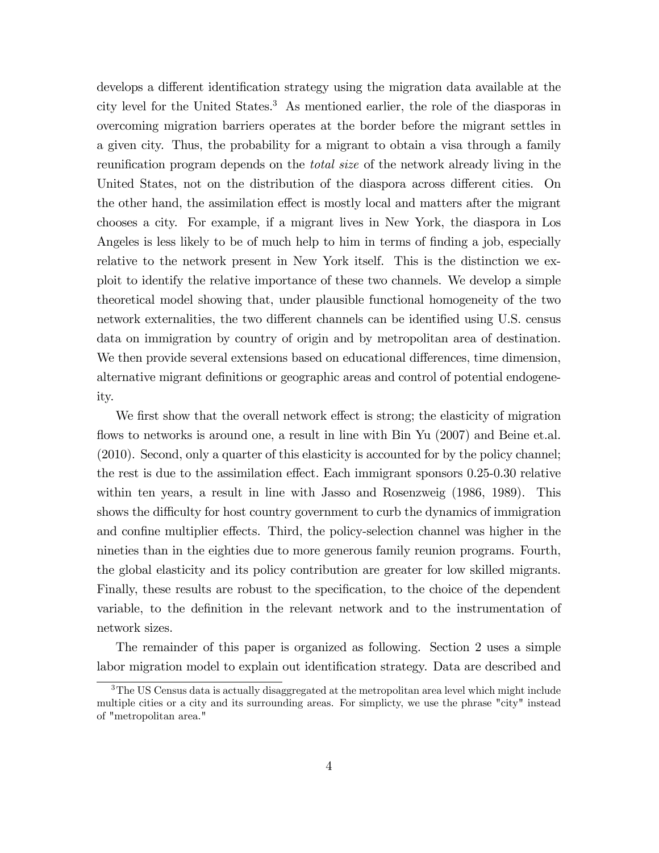develops a different identification strategy using the migration data available at the city level for the United States.<sup>3</sup> As mentioned earlier, the role of the diasporas in overcoming migration barriers operates at the border before the migrant settles in a given city. Thus, the probability for a migrant to obtain a visa through a family reunification program depends on the *total size* of the network already living in the United States, not on the distribution of the diaspora across different cities. On the other hand, the assimilation effect is mostly local and matters after the migrant chooses a city. For example, if a migrant lives in New York, the diaspora in Los Angeles is less likely to be of much help to him in terms of finding a job, especially relative to the network present in New York itself. This is the distinction we exploit to identify the relative importance of these two channels. We develop a simple theoretical model showing that, under plausible functional homogeneity of the two network externalities, the two different channels can be identified using U.S. census data on immigration by country of origin and by metropolitan area of destination. We then provide several extensions based on educational differences, time dimension, alternative migrant definitions or geographic areas and control of potential endogeneity.

We first show that the overall network effect is strong; the elasticity of migration flows to networks is around one, a result in line with Bin Yu  $(2007)$  and Beine et.al. (2010). Second, only a quarter of this elasticity is accounted for by the policy channel; the rest is due to the assimilation effect. Each immigrant sponsors  $0.25-0.30$  relative within ten years, a result in line with Jasso and Rosenzweig (1986, 1989). This shows the difficulty for host country government to curb the dynamics of immigration and confine multiplier effects. Third, the policy-selection channel was higher in the nineties than in the eighties due to more generous family reunion programs. Fourth, the global elasticity and its policy contribution are greater for low skilled migrants. Finally, these results are robust to the specification, to the choice of the dependent variable, to the definition in the relevant network and to the instrumentation of network sizes.

The remainder of this paper is organized as following. Section 2 uses a simple labor migration model to explain out identification strategy. Data are described and

 $3$ The US Census data is actually disaggregated at the metropolitan area level which might include multiple cities or a city and its surrounding areas. For simplicty, we use the phrase "city" instead of "metropolitan area."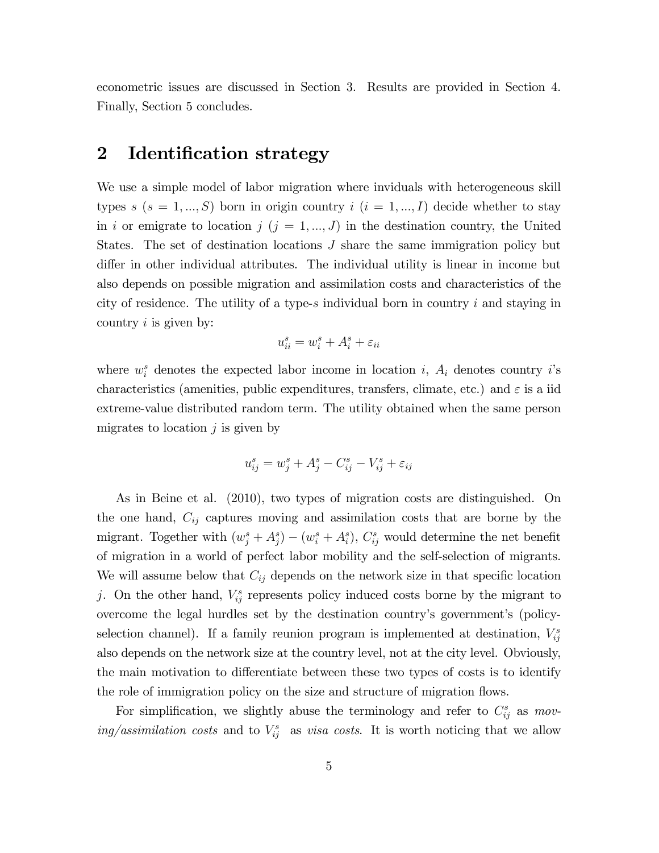econometric issues are discussed in Section 3. Results are provided in Section 4. Finally, Section 5 concludes.

## 2 Identification strategy

We use a simple model of labor migration where inviduals with heterogeneous skill types s  $(s = 1, ..., S)$  born in origin country  $i$   $(i = 1, ..., I)$  decide whether to stay in i or emigrate to location j  $(j = 1, ..., J)$  in the destination country, the United States. The set of destination locations J share the same immigration policy but differ in other individual attributes. The individual utility is linear in income but also depends on possible migration and assimilation costs and characteristics of the city of residence. The utility of a type-s individual born in country  $i$  and staying in country  $i$  is given by:

$$
u_{ii}^s = w_i^s + A_i^s + \varepsilon_{ii}
$$

where  $w_i^s$  denotes the expected labor income in location i,  $A_i$  denotes country i's characteristics (amenities, public expenditures, transfers, climate, etc.) and  $\varepsilon$  is a iid extreme-value distributed random term. The utility obtained when the same person migrates to location  $j$  is given by

$$
u_{ij}^s = w_j^s + A_j^s - C_{ij}^s - V_{ij}^s + \varepsilon_{ij}
$$

As in Beine et al. (2010), two types of migration costs are distinguished. On the one hand,  $C_{ij}$  captures moving and assimilation costs that are borne by the migrant. Together with  $(w_j^s + A_j^s) - (w_i^s + A_i^s)$ ,  $C_{ij}^s$  would determine the net benefit of migration in a world of perfect labor mobility and the self-selection of migrants. We will assume below that  $C_{ij}$  depends on the network size in that specific location j. On the other hand,  $V_{ij}^s$  represents policy induced costs borne by the migrant to overcome the legal hurdles set by the destination countryís governmentís (policyselection channel). If a family reunion program is implemented at destination,  $V_{ij}^s$ also depends on the network size at the country level, not at the city level. Obviously, the main motivation to differentiate between these two types of costs is to identify the role of immigration policy on the size and structure of migration flows.

For simplification, we slightly abuse the terminology and refer to  $C_{ij}^s$  as moving/assimilation costs and to  $V_{ij}^s$  as visa costs. It is worth noticing that we allow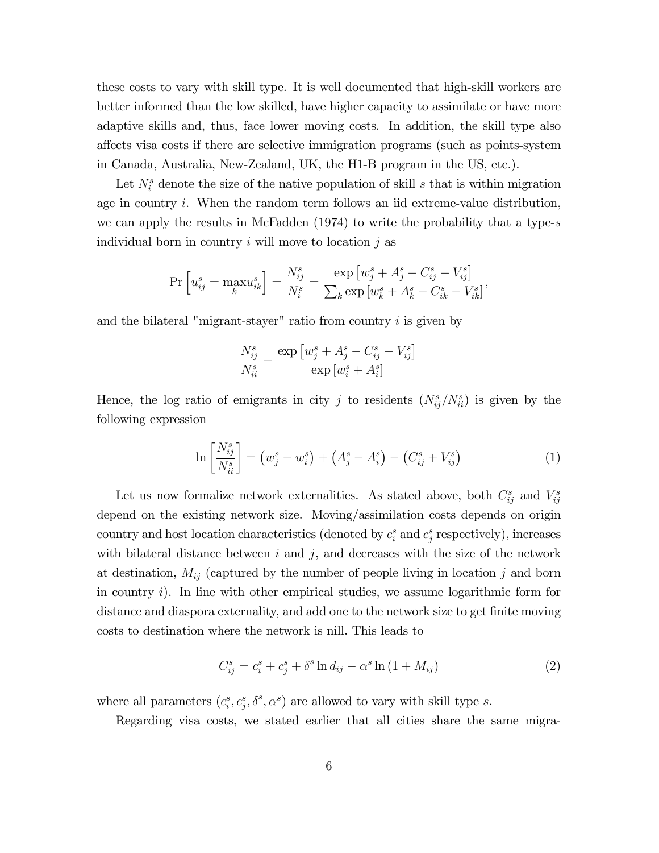these costs to vary with skill type. It is well documented that high-skill workers are better informed than the low skilled, have higher capacity to assimilate or have more adaptive skills and, thus, face lower moving costs. In addition, the skill type also a§ects visa costs if there are selective immigration programs (such as points-system in Canada, Australia, New-Zealand, UK, the H1-B program in the US, etc.).

Let  $N_i^s$  denote the size of the native population of skill s that is within migration age in country i. When the random term follows an iid extreme-value distribution, we can apply the results in McFadden (1974) to write the probability that a type-s individual born in country  $i$  will move to location  $j$  as

$$
\Pr\left[u_{ij}^s=\max_k u_{ik}^s\right]=\frac{N_{ij}^s}{N_i^s}=\frac{\exp\left[w_j^s+A_j^s-C_{ij}^s-V_{ij}^s\right]}{\sum_k\exp\left[w_k^s+A_k^s-C_{ik}^s-V_{ik}^s\right]},
$$

and the bilateral "migrant-stayer" ratio from country  $i$  is given by

$$
\frac{N_{ij}^s}{N_{ii}^s} = \frac{\exp\left[w_j^s + A_j^s - C_{ij}^s - V_{ij}^s\right]}{\exp\left[w_i^s + A_i^s\right]}
$$

Hence, the log ratio of emigrants in city j to residents  $(N_{ij}^s/N_{ii}^s)$  is given by the following expression

$$
\ln\left[\frac{N_{ij}^s}{N_{ii}^s}\right] = (w_j^s - w_i^s) + (A_j^s - A_i^s) - (C_{ij}^s + V_{ij}^s)
$$
\n(1)

Let us now formalize network externalities. As stated above, both  $C_{ij}^s$  and  $V_{ij}^s$ depend on the existing network size. Moving/assimilation costs depends on origin country and host location characteristics (denoted by  $c_i^s$  and  $c_j^s$  respectively), increases with bilateral distance between  $i$  and  $j$ , and decreases with the size of the network at destination,  $M_{ij}$  (captured by the number of people living in location j and born in country  $i$ ). In line with other empirical studies, we assume logarithmic form for distance and diaspora externality, and add one to the network size to get finite moving costs to destination where the network is nill. This leads to

$$
C_{ij}^{s} = c_{i}^{s} + c_{j}^{s} + \delta^{s} \ln d_{ij} - \alpha^{s} \ln (1 + M_{ij})
$$
 (2)

where all parameters  $(c_i^s, c_j^s, \delta^s, \alpha^s)$  are allowed to vary with skill type s.

Regarding visa costs, we stated earlier that all cities share the same migra-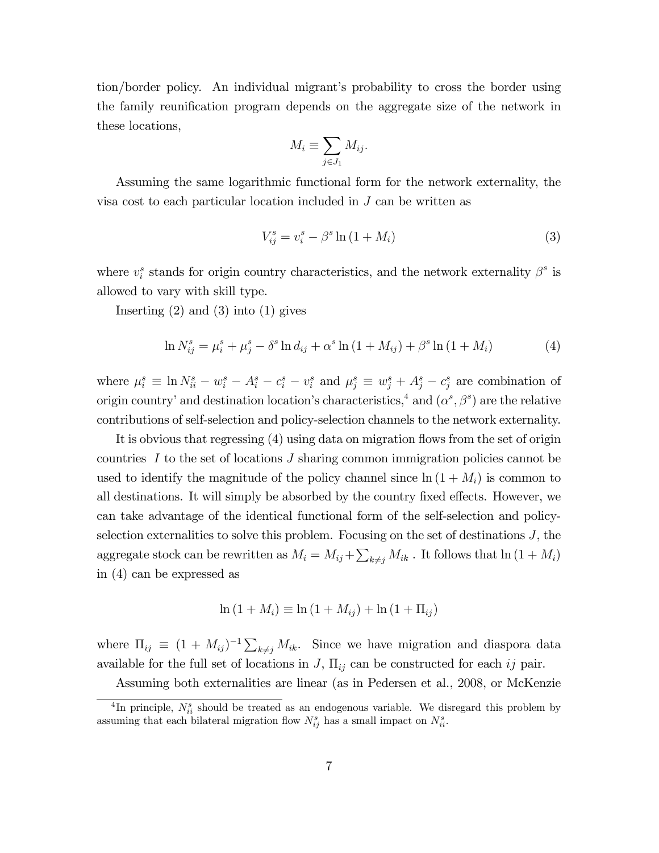tion/border policy. An individual migrant's probability to cross the border using the family reunification program depends on the aggregate size of the network in these locations,

$$
M_i \equiv \sum_{j \in J_1} M_{ij}.
$$

Assuming the same logarithmic functional form for the network externality, the visa cost to each particular location included in J can be written as

$$
V_{ij}^{s} = v_{i}^{s} - \beta^{s} \ln(1 + M_{i})
$$
\n(3)

where  $v_i^s$  stands for origin country characteristics, and the network externality  $\beta^s$  is allowed to vary with skill type.

Inserting  $(2)$  and  $(3)$  into  $(1)$  gives

$$
\ln N_{ij}^s = \mu_i^s + \mu_j^s - \delta^s \ln d_{ij} + \alpha^s \ln (1 + M_{ij}) + \beta^s \ln (1 + M_i)
$$
 (4)

where  $\mu_i^s \equiv \ln N_{ii}^s - w_i^s - A_i^s - c_i^s - v_i^s$  and  $\mu_j^s \equiv w_j^s + A_j^s - c_j^s$  are combination of origin country' and destination location's characteristics,<sup>4</sup> and  $(\alpha^s, \beta^s)$  are the relative contributions of self-selection and policy-selection channels to the network externality.

It is obvious that regressing (4) using data on migration flows from the set of origin countries I to the set of locations J sharing common immigration policies cannot be used to identify the magnitude of the policy channel since  $\ln (1 + M_i)$  is common to all destinations. It will simply be absorbed by the country fixed effects. However, we can take advantage of the identical functional form of the self-selection and policyselection externalities to solve this problem. Focusing on the set of destinations  $J$ , the aggregate stock can be rewritten as  $M_i = M_{ij} + \sum_{k \neq j} M_{ik}$ . It follows that  $\ln (1 + M_i)$ in (4) can be expressed as

$$
\ln (1 + M_i) \equiv \ln (1 + M_{ij}) + \ln (1 + \Pi_{ij})
$$

where  $\Pi_{ij} \equiv (1 + M_{ij})^{-1} \sum_{k \neq j} M_{ik}$ . Since we have migration and diaspora data available for the full set of locations in  $J$ ,  $\Pi_{ij}$  can be constructed for each ij pair.

Assuming both externalities are linear (as in Pedersen et al., 2008, or McKenzie

<sup>&</sup>lt;sup>4</sup>In principle,  $N_{ii}^s$  should be treated as an endogenous variable. We disregard this problem by assuming that each bilateral migration flow  $N_{ij}^s$  has a small impact on  $N_{ii}^s$ .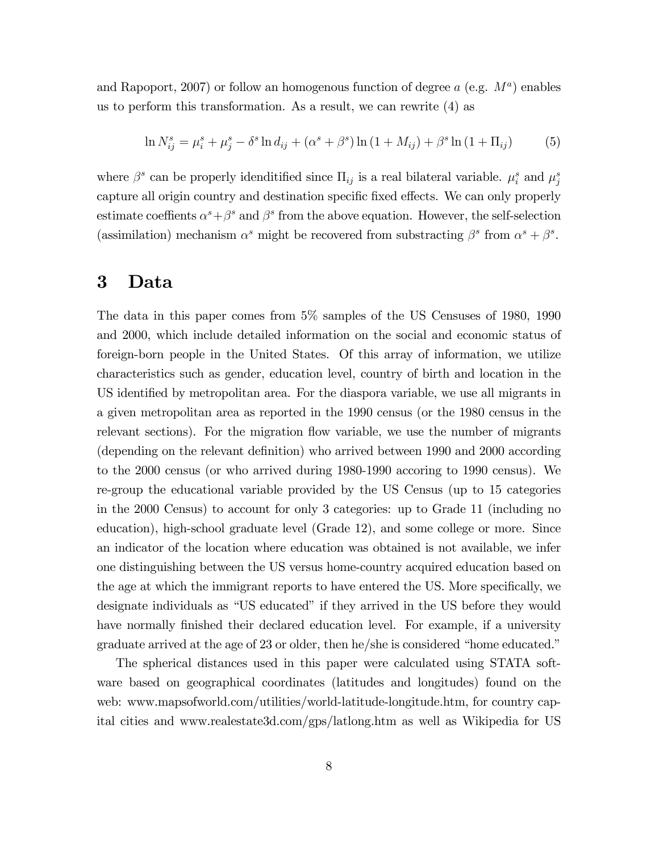and Rapoport, 2007) or follow an homogenous function of degree  $a$  (e.g.  $M^a$ ) enables us to perform this transformation. As a result, we can rewrite (4) as

$$
\ln N_{ij}^s = \mu_i^s + \mu_j^s - \delta^s \ln d_{ij} + (\alpha^s + \beta^s) \ln (1 + M_{ij}) + \beta^s \ln (1 + \Pi_{ij})
$$
 (5)

where  $\beta^s$  can be properly idenditified since  $\Pi_{ij}$  is a real bilateral variable.  $\mu_i^s$  and  $\mu_j^s$ capture all origin country and destination specific fixed effects. We can only properly estimate coeffients  $\alpha^s + \beta^s$  and  $\beta^s$  from the above equation. However, the self-selection (assimilation) mechanism  $\alpha^s$  might be recovered from substracting  $\beta^s$  from  $\alpha^s + \beta^s$ .

## 3 Data

The data in this paper comes from 5% samples of the US Censuses of 1980, 1990 and 2000, which include detailed information on the social and economic status of foreign-born people in the United States. Of this array of information, we utilize characteristics such as gender, education level, country of birth and location in the US identified by metropolitan area. For the diaspora variable, we use all migrants in a given metropolitan area as reported in the 1990 census (or the 1980 census in the relevant sections). For the migration flow variable, we use the number of migrants (depending on the relevant definition) who arrived between 1990 and 2000 according to the 2000 census (or who arrived during 1980-1990 accoring to 1990 census). We re-group the educational variable provided by the US Census (up to 15 categories in the 2000 Census) to account for only 3 categories: up to Grade 11 (including no education), high-school graduate level (Grade 12), and some college or more. Since an indicator of the location where education was obtained is not available, we infer one distinguishing between the US versus home-country acquired education based on the age at which the immigrant reports to have entered the US. More specifically, we designate individuals as "US educated" if they arrived in the US before they would have normally finished their declared education level. For example, if a university graduate arrived at the age of 23 or older, then he/she is considered "home educated."

The spherical distances used in this paper were calculated using STATA software based on geographical coordinates (latitudes and longitudes) found on the web: www.mapsofworld.com/utilities/world-latitude-longitude.htm, for country capital cities and www.realestate3d.com/gps/latlong.htm as well as Wikipedia for US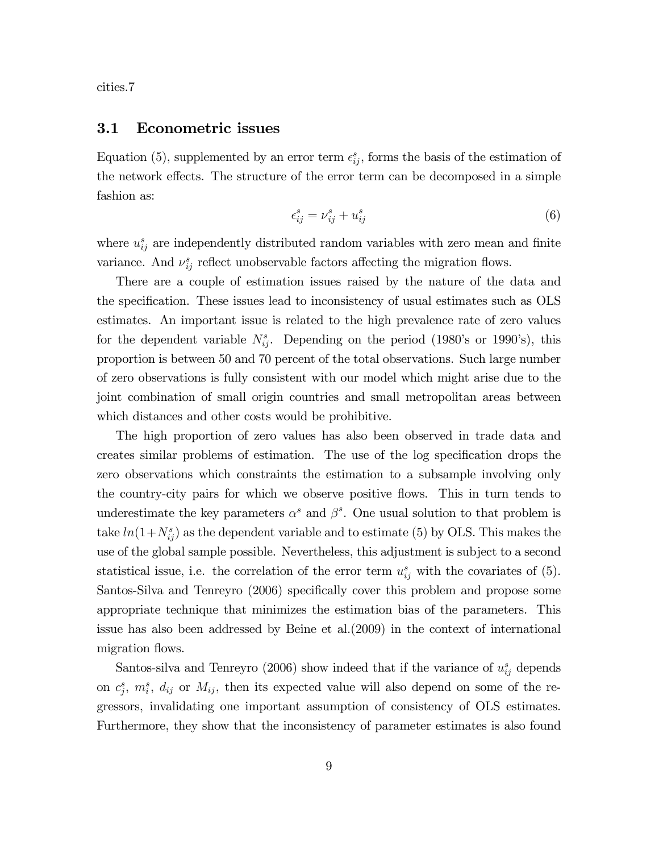cities.7

#### 3.1 Econometric issues

Equation (5), supplemented by an error term  $\epsilon_{ij}^s$ , forms the basis of the estimation of the network effects. The structure of the error term can be decomposed in a simple fashion as:

$$
\epsilon_{ij}^s = \nu_{ij}^s + u_{ij}^s \tag{6}
$$

where  $u_{ij}^s$  are independently distributed random variables with zero mean and finite variance. And  $\nu_{ij}^s$  reflect unobservable factors affecting the migration flows.

There are a couple of estimation issues raised by the nature of the data and the specification. These issues lead to inconsistency of usual estimates such as OLS estimates. An important issue is related to the high prevalence rate of zero values for the dependent variable  $N_{ij}^s$ . Depending on the period (1980's or 1990's), this proportion is between 50 and 70 percent of the total observations. Such large number of zero observations is fully consistent with our model which might arise due to the joint combination of small origin countries and small metropolitan areas between which distances and other costs would be prohibitive.

The high proportion of zero values has also been observed in trade data and creates similar problems of estimation. The use of the log specification drops the zero observations which constraints the estimation to a subsample involving only the country-city pairs for which we observe positive flows. This in turn tends to underestimate the key parameters  $\alpha^s$  and  $\beta^s$ . One usual solution to that problem is take  $ln(1+N_{ij}^s)$  as the dependent variable and to estimate (5) by OLS. This makes the use of the global sample possible. Nevertheless, this adjustment is subject to a second statistical issue, i.e. the correlation of the error term  $u_{ij}^s$  with the covariates of (5). Santos-Silva and Tenreyro (2006) specifically cover this problem and propose some appropriate technique that minimizes the estimation bias of the parameters. This issue has also been addressed by Beine et al.(2009) in the context of international migration flows.

Santos-silva and Tenreyro (2006) show indeed that if the variance of  $u_{ij}^s$  depends on  $c_j^s$ ,  $m_i^s$ ,  $d_{ij}$  or  $M_{ij}$ , then its expected value will also depend on some of the regressors, invalidating one important assumption of consistency of OLS estimates. Furthermore, they show that the inconsistency of parameter estimates is also found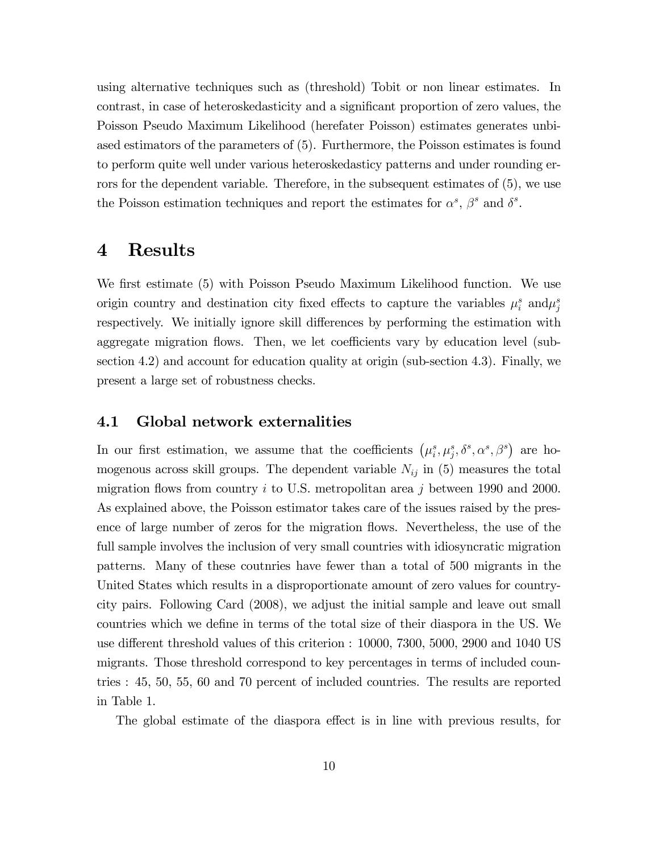using alternative techniques such as (threshold) Tobit or non linear estimates. In contrast, in case of heteroskedasticity and a significant proportion of zero values, the Poisson Pseudo Maximum Likelihood (herefater Poisson) estimates generates unbiased estimators of the parameters of (5). Furthermore, the Poisson estimates is found to perform quite well under various heteroskedasticy patterns and under rounding errors for the dependent variable. Therefore, in the subsequent estimates of (5), we use the Poisson estimation techniques and report the estimates for  $\alpha^s$ ,  $\beta^s$  and  $\delta^s$ .

## 4 Results

We first estimate (5) with Poisson Pseudo Maximum Likelihood function. We use origin country and destination city fixed effects to capture the variables  $\mu_i^s$  and  $\mu_j^s$ respectively. We initially ignore skill differences by performing the estimation with aggregate migration flows. Then, we let coefficients vary by education level (subsection 4.2) and account for education quality at origin (sub-section 4.3). Finally, we present a large set of robustness checks.

#### 4.1 Global network externalities

In our first estimation, we assume that the coefficients  $(\mu_i^s, \mu_j^s, \delta^s, \alpha^s, \beta^s)$  are homogenous across skill groups. The dependent variable  $N_{ij}$  in (5) measures the total migration flows from country i to U.S. metropolitan area j between 1990 and 2000. As explained above, the Poisson estimator takes care of the issues raised by the presence of large number of zeros for the migration flows. Nevertheless, the use of the full sample involves the inclusion of very small countries with idiosyncratic migration patterns. Many of these coutnries have fewer than a total of 500 migrants in the United States which results in a disproportionate amount of zero values for countrycity pairs. Following Card (2008), we adjust the initial sample and leave out small countries which we define in terms of the total size of their diaspora in the US. We use different threshold values of this criterion : 10000, 7300, 5000, 2900 and 1040 US migrants. Those threshold correspond to key percentages in terms of included countries : 45, 50, 55, 60 and 70 percent of included countries. The results are reported in Table 1.

The global estimate of the diaspora effect is in line with previous results, for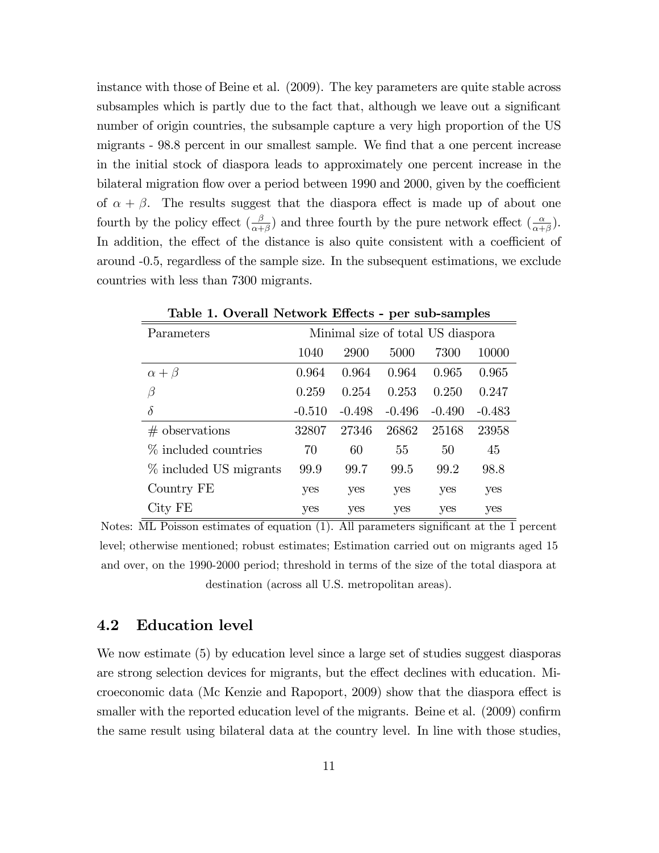instance with those of Beine et al. (2009). The key parameters are quite stable across subsamples which is partly due to the fact that, although we leave out a significant number of origin countries, the subsample capture a very high proportion of the US migrants - 98.8 percent in our smallest sample. We find that a one percent increase in the initial stock of diaspora leads to approximately one percent increase in the bilateral migration flow over a period between 1990 and 2000, given by the coefficient of  $\alpha + \beta$ . The results suggest that the diaspora effect is made up of about one fourth by the policy effect  $(\frac{\beta}{\alpha+\beta})$  and three fourth by the pure network effect  $(\frac{\alpha}{\alpha+\beta})$ . In addition, the effect of the distance is also quite consistent with a coefficient of around -0.5, regardless of the sample size. In the subsequent estimations, we exclude countries with less than 7300 migrants.

|                         |          |            | д,       | л.                                |          |
|-------------------------|----------|------------|----------|-----------------------------------|----------|
| Parameters              |          |            |          | Minimal size of total US diaspora |          |
|                         | 1040     | 2900       | 5000     | 7300                              | 10000    |
| $\alpha + \beta$        | 0.964    | 0.964      | 0.964    | 0.965                             | 0.965    |
| $\beta$                 | 0.259    | 0.254      | 0.253    | 0.250                             | 0.247    |
| $\delta$                | $-0.510$ | $-0.498$   | $-0.496$ | $-0.490$                          | $-0.483$ |
| $#$ observations        | 32807    | 27346      | 26862    | 25168                             | 23958    |
| $\%$ included countries | 70       | 60         | 55       | 50                                | 45       |
| % included US migrants  | 99.9     | 99.7       | 99.5     | 99.2                              | 98.8     |
| Country FE              | yes      | yes        | yes      | yes                               | yes      |
| City FE                 | yes      | <b>ves</b> | yes      | yes                               | yes      |

Table 1. Overall Network Effects - per sub-samples

Notes:  $\overline{\text{ML}$  Poisson estimates of equation (1). All parameters significant at the 1 percent level; otherwise mentioned; robust estimates; Estimation carried out on migrants aged 15 and over, on the 1990-2000 period; threshold in terms of the size of the total diaspora at destination (across all U.S. metropolitan areas).

#### 4.2 Education level

We now estimate (5) by education level since a large set of studies suggest diasporas are strong selection devices for migrants, but the effect declines with education. Microeconomic data (Mc Kenzie and Rapoport, 2009) show that the diaspora effect is smaller with the reported education level of the migrants. Beine et al.  $(2009)$  confirm the same result using bilateral data at the country level. In line with those studies,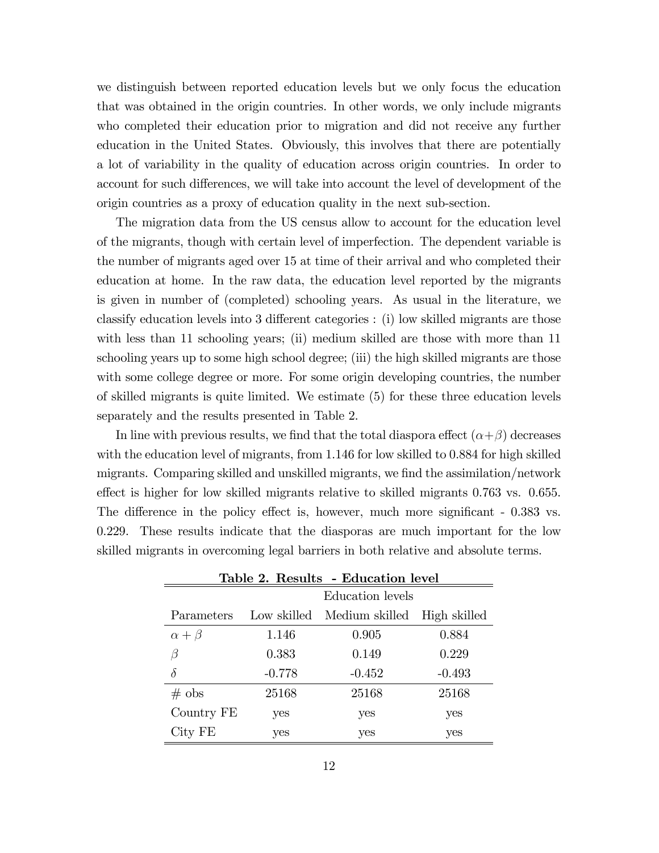we distinguish between reported education levels but we only focus the education that was obtained in the origin countries. In other words, we only include migrants who completed their education prior to migration and did not receive any further education in the United States. Obviously, this involves that there are potentially a lot of variability in the quality of education across origin countries. In order to account for such differences, we will take into account the level of development of the origin countries as a proxy of education quality in the next sub-section.

The migration data from the US census allow to account for the education level of the migrants, though with certain level of imperfection. The dependent variable is the number of migrants aged over 15 at time of their arrival and who completed their education at home. In the raw data, the education level reported by the migrants is given in number of (completed) schooling years. As usual in the literature, we classify education levels into 3 different categories : (i) low skilled migrants are those with less than 11 schooling years; (ii) medium skilled are those with more than 11 schooling years up to some high school degree; (iii) the high skilled migrants are those with some college degree or more. For some origin developing countries, the number of skilled migrants is quite limited. We estimate (5) for these three education levels separately and the results presented in Table 2.

In line with previous results, we find that the total diaspora effect  $(\alpha + \beta)$  decreases with the education level of migrants, from 1.146 for low skilled to 0.884 for high skilled migrants. Comparing skilled and unskilled migrants, we find the assimilation/network effect is higher for low skilled migrants relative to skilled migrants  $0.763$  vs.  $0.655$ . The difference in the policy effect is, however, much more significant - 0.383 vs. 0.229. These results indicate that the diasporas are much important for the low skilled migrants in overcoming legal barriers in both relative and absolute terms.

| Table 2. Results - Education level |             |                  |              |  |  |
|------------------------------------|-------------|------------------|--------------|--|--|
|                                    |             | Education levels |              |  |  |
| Parameters                         | Low skilled | Medium skilled   | High skilled |  |  |
| $\alpha + \beta$                   | 1.146       | 0.905            | 0.884        |  |  |
| β                                  | 0.383       | 0.149            | 0.229        |  |  |
| $\delta$                           | $-0.778$    | $-0.452$         | $-0.493$     |  |  |
| $\#$ obs                           | 25168       | 25168            | 25168        |  |  |
| Country FE                         | yes         | yes              | yes          |  |  |
| City FE                            | yes         | yes              | yes          |  |  |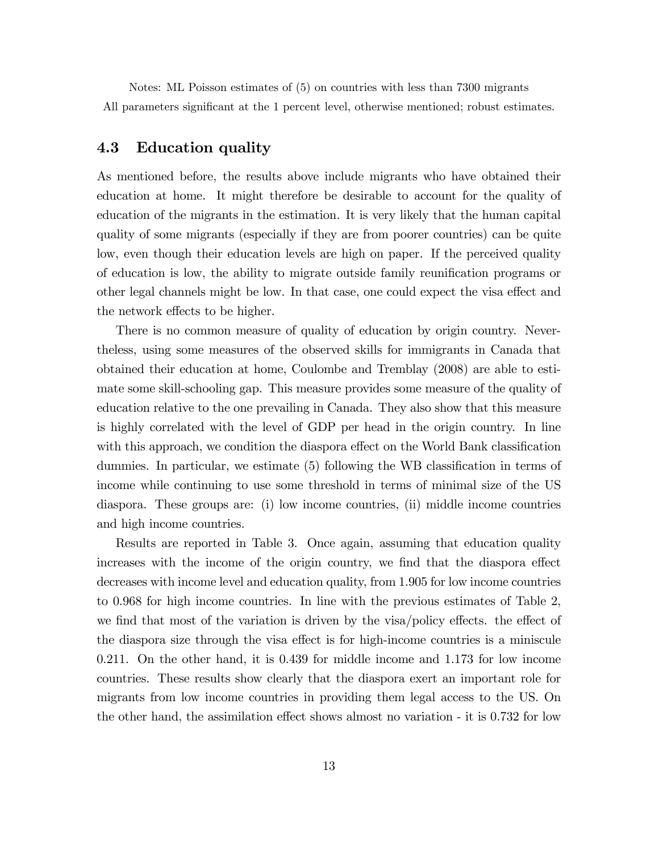Notes: ML Poisson estimates of (5) on countries with less than 7300 migrants All parameters significant at the 1 percent level, otherwise mentioned; robust estimates.

### 4.3 Education quality

As mentioned before, the results above include migrants who have obtained their education at home. It might therefore be desirable to account for the quality of education of the migrants in the estimation. It is very likely that the human capital quality of some migrants (especially if they are from poorer countries) can be quite low, even though their education levels are high on paper. If the perceived quality of education is low, the ability to migrate outside family reunification programs or other legal channels might be low. In that case, one could expect the visa effect and the network effects to be higher.

There is no common measure of quality of education by origin country. Nevertheless, using some measures of the observed skills for immigrants in Canada that obtained their education at home, Coulombe and Tremblay (2008) are able to estimate some skill-schooling gap. This measure provides some measure of the quality of education relative to the one prevailing in Canada. They also show that this measure is highly correlated with the level of GDP per head in the origin country. In line with this approach, we condition the diaspora effect on the World Bank classification dummies. In particular, we estimate (5) following the WB classification in terms of income while continuing to use some threshold in terms of minimal size of the US diaspora. These groups are: (i) low income countries, (ii) middle income countries and high income countries.

Results are reported in Table 3. Once again, assuming that education quality increases with the income of the origin country, we find that the diaspora effect decreases with income level and education quality, from 1.905 for low income countries to 0.968 for high income countries. In line with the previous estimates of Table 2, we find that most of the variation is driven by the visa/policy effects. the effect of the diaspora size through the visa effect is for high-income countries is a miniscule 0.211. On the other hand, it is 0.439 for middle income and 1.173 for low income countries. These results show clearly that the diaspora exert an important role for migrants from low income countries in providing them legal access to the US. On the other hand, the assimilation effect shows almost no variation - it is 0.732 for low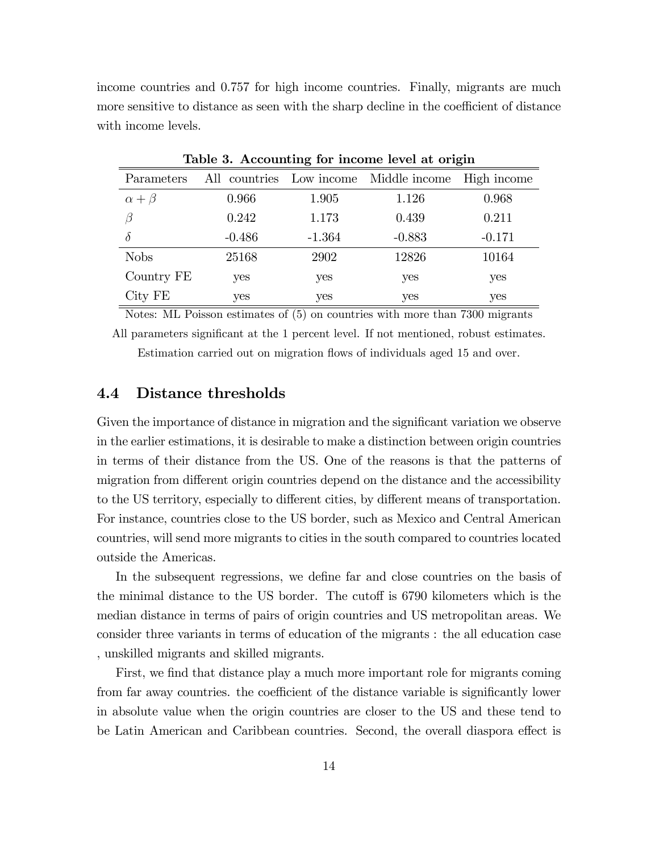income countries and 0.757 for high income countries. Finally, migrants are much more sensitive to distance as seen with the sharp decline in the coefficient of distance with income levels.

| Lable 5. Accounting for income level at origin |          |          |                                        |             |  |  |
|------------------------------------------------|----------|----------|----------------------------------------|-------------|--|--|
| Parameters                                     |          |          | All countries Low income Middle income | High income |  |  |
| $\alpha + \beta$                               | 0.966    | 1.905    | 1.126                                  | 0.968       |  |  |
| Β                                              | 0.242    | 1.173    | 0.439                                  | 0.211       |  |  |
| $\delta$                                       | $-0.486$ | $-1.364$ | $-0.883$                               | $-0.171$    |  |  |
| <b>Nobs</b>                                    | 25168    | 2902     | 12826                                  | 10164       |  |  |
| Country FE                                     | yes      | yes      | yes                                    | yes         |  |  |
| City FE                                        | yes      | yes      | yes                                    | yes         |  |  |

Table 3. Accounting for income level at origin

Notes: ML Poisson estimates of (5) on countries with more than 7300 migrants

All parameters significant at the 1 percent level. If not mentioned, robust estimates. Estimation carried out on migration flows of individuals aged 15 and over.

#### 4.4 Distance thresholds

Given the importance of distance in migration and the significant variation we observe in the earlier estimations, it is desirable to make a distinction between origin countries in terms of their distance from the US. One of the reasons is that the patterns of migration from different origin countries depend on the distance and the accessibility to the US territory, especially to different cities, by different means of transportation. For instance, countries close to the US border, such as Mexico and Central American countries, will send more migrants to cities in the south compared to countries located outside the Americas.

In the subsequent regressions, we define far and close countries on the basis of the minimal distance to the US border. The cutoff is 6790 kilometers which is the median distance in terms of pairs of origin countries and US metropolitan areas. We consider three variants in terms of education of the migrants : the all education case , unskilled migrants and skilled migrants.

First, we find that distance play a much more important role for migrants coming from far away countries. the coefficient of the distance variable is significantly lower in absolute value when the origin countries are closer to the US and these tend to be Latin American and Caribbean countries. Second, the overall diaspora effect is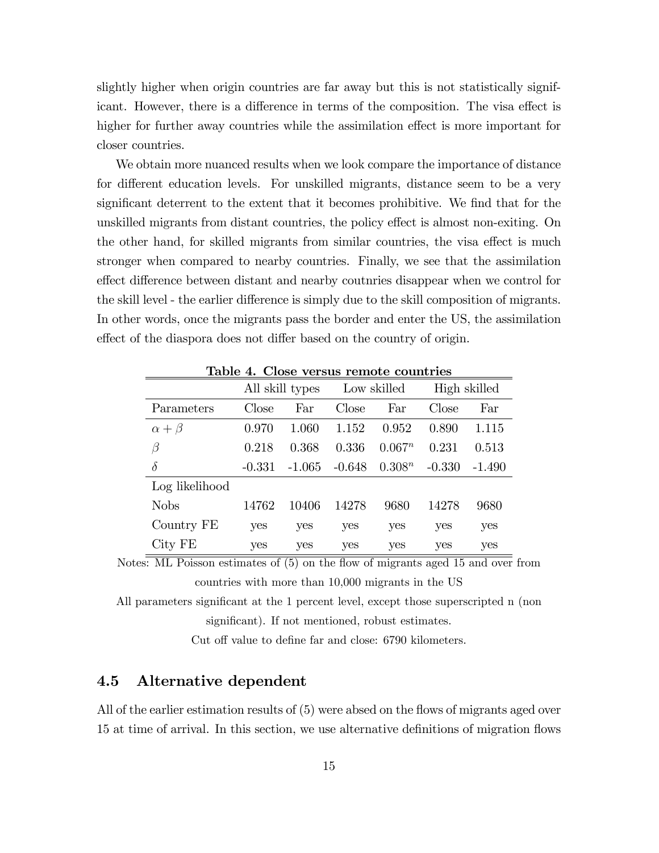slightly higher when origin countries are far away but this is not statistically significant. However, there is a difference in terms of the composition. The visa effect is higher for further away countries while the assimilation effect is more important for closer countries.

We obtain more nuanced results when we look compare the importance of distance for different education levels. For unskilled migrants, distance seem to be a very significant deterrent to the extent that it becomes prohibitive. We find that for the unskilled migrants from distant countries, the policy effect is almost non-exiting. On the other hand, for skilled migrants from similar countries, the visa effect is much stronger when compared to nearby countries. Finally, we see that the assimilation effect difference between distant and nearby coutnries disappear when we control for the skill level - the earlier difference is simply due to the skill composition of migrants. In other words, once the migrants pass the border and enter the US, the assimilation effect of the diaspora does not differ based on the country of origin.

|                |            | All skill types |            | Low skilled |          | High skilled |
|----------------|------------|-----------------|------------|-------------|----------|--------------|
| Parameters     | Close      | Far             | Close      | Far         | Close    | Far          |
| $\alpha+\beta$ | 0.970      | 1.060           | 1.152      | 0.952       | 0.890    | 1.115        |
| $\beta$        | 0.218      | 0.368           | 0.336      | $0.067^n$   | 0.231    | 0.513        |
| $\delta$       | $-0.331$   | $-1.065$        | $-0.648$   | $0.308^n$   | $-0.330$ | $-1.490$     |
| Log likelihood |            |                 |            |             |          |              |
| <b>Nobs</b>    | 14762      | 10406           | 14278      | 9680        | 14278    | 9680         |
| Country FE     | <b>ves</b> | yes             | yes        | yes         | yes      | yes          |
| City FE        | <b>ves</b> | yes             | <b>ves</b> | yes         | yes      | <b>ves</b>   |

Table 4. Close versus remote countries

Notes: ML Poisson estimates of (5) on the flow of migrants aged 15 and over from countries with more than 10,000 migrants in the US

All parameters significant at the 1 percent level, except those superscripted n (non significant). If not mentioned, robust estimates.

Cut off value to define far and close: 6790 kilometers.

## 4.5 Alternative dependent

All of the earlier estimation results of  $(5)$  were absed on the flows of migrants aged over 15 at time of arrival. In this section, we use alternative definitions of migration flows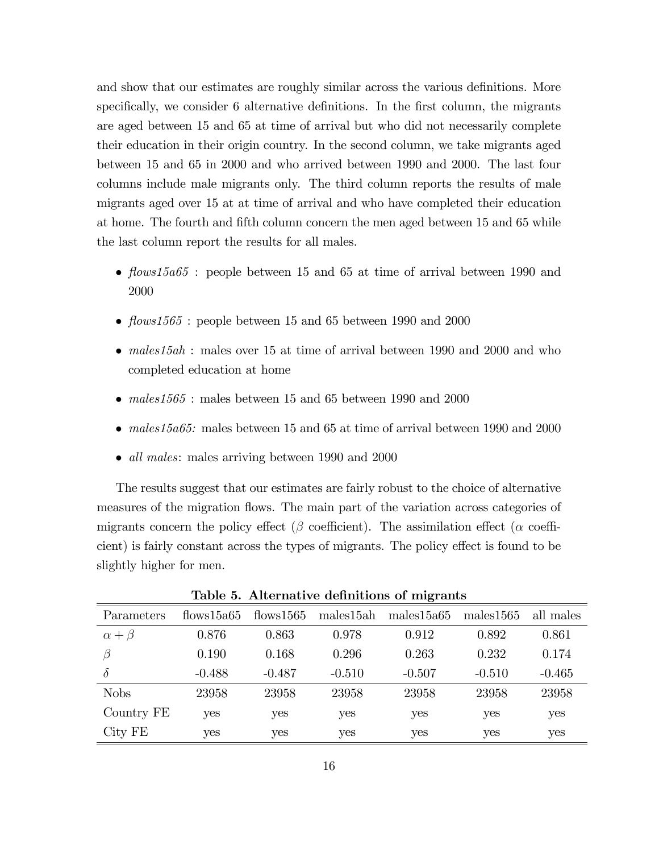and show that our estimates are roughly similar across the various definitions. More specifically, we consider 6 alternative definitions. In the first column, the migrants are aged between 15 and 65 at time of arrival but who did not necessarily complete their education in their origin country. In the second column, we take migrants aged between 15 and 65 in 2000 and who arrived between 1990 and 2000. The last four columns include male migrants only. The third column reports the results of male migrants aged over 15 at at time of arrival and who have completed their education at home. The fourth and fifth column concern the men aged between 15 and 65 while the last column report the results for all males.

- $flows15a65$ : people between 15 and 65 at time of arrival between 1990 and 2000
- flows1565 : people between 15 and 65 between 1990 and 2000
- males 15ah : males over 15 at time of arrival between 1990 and 2000 and who completed education at home
- males $1565$ : males between 15 and 65 between 1990 and 2000
- $\bullet$  males 15a65: males between 15 and 65 at time of arrival between 1990 and 2000
- *all males*: males arriving between 1990 and 2000

The results suggest that our estimates are fairly robust to the choice of alternative measures of the migration flows. The main part of the variation across categories of migrants concern the policy effect ( $\beta$  coefficient). The assimilation effect ( $\alpha$  coefficient) is fairly constant across the types of migrants. The policy effect is found to be slightly higher for men.

| Parameters       | flows15a65 | flows1565 | males15ah | ັ<br>males15a65 | males1565 | all males |
|------------------|------------|-----------|-----------|-----------------|-----------|-----------|
| $\alpha + \beta$ | 0.876      | 0.863     | 0.978     | 0.912           | 0.892     | 0.861     |
| β                | 0.190      | 0.168     | 0.296     | 0.263           | 0.232     | 0.174     |
| $\delta$         | $-0.488$   | $-0.487$  | $-0.510$  | $-0.507$        | $-0.510$  | $-0.465$  |
| <b>Nobs</b>      | 23958      | 23958     | 23958     | 23958           | 23958     | 23958     |
| Country FE       | yes        | yes       | yes       | yes             | yes       | yes       |
| City FE          | yes        | yes       | yes       | yes             | yes       | yes       |

Table 5. Alternative definitions of migrants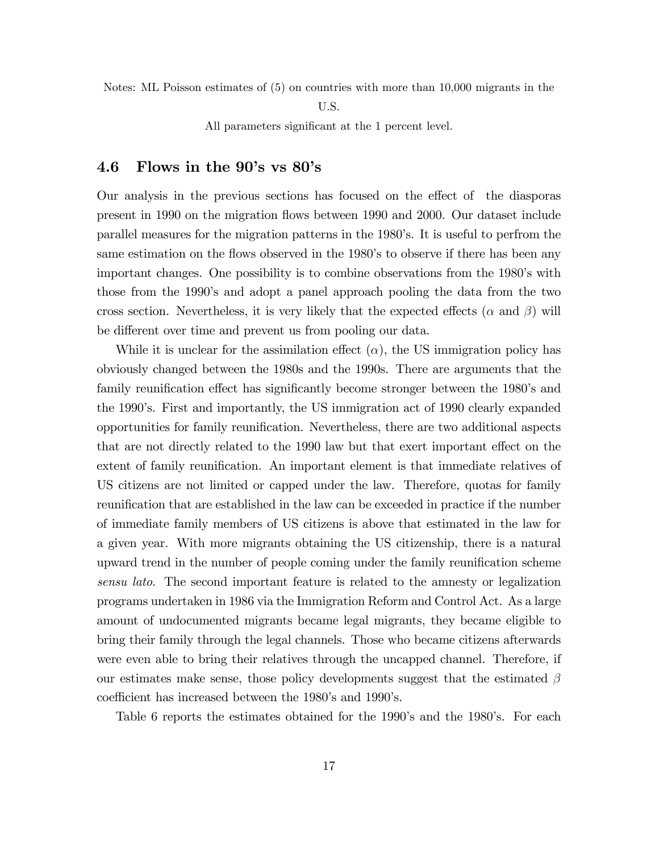Notes: ML Poisson estimates of (5) on countries with more than 10,000 migrants in the

U.S.

All parameters significant at the 1 percent level.

#### 4.6 Flows in the  $90\text{'s}$  vs  $80\text{'s}$

Our analysis in the previous sections has focused on the effect of the diasporas present in 1990 on the migration áows between 1990 and 2000. Our dataset include parallel measures for the migration patterns in the 1980's. It is useful to perfrom the same estimation on the flows observed in the 1980's to observe if there has been any important changes. One possibility is to combine observations from the 1980's with those from the 1990ís and adopt a panel approach pooling the data from the two cross section. Nevertheless, it is very likely that the expected effects ( $\alpha$  and  $\beta$ ) will be different over time and prevent us from pooling our data.

While it is unclear for the assimilation effect  $(\alpha)$ , the US immigration policy has obviously changed between the 1980s and the 1990s. There are arguments that the family reunification effect has significantly become stronger between the 1980's and the 1990ís. First and importantly, the US immigration act of 1990 clearly expanded opportunities for family reunification. Nevertheless, there are two additional aspects that are not directly related to the 1990 law but that exert important effect on the extent of family reunification. An important element is that immediate relatives of US citizens are not limited or capped under the law. Therefore, quotas for family reunification that are established in the law can be exceeded in practice if the number of immediate family members of US citizens is above that estimated in the law for a given year. With more migrants obtaining the US citizenship, there is a natural upward trend in the number of people coming under the family reunification scheme sensu lato. The second important feature is related to the amnesty or legalization programs undertaken in 1986 via the Immigration Reform and Control Act. As a large amount of undocumented migrants became legal migrants, they became eligible to bring their family through the legal channels. Those who became citizens afterwards were even able to bring their relatives through the uncapped channel. Therefore, if our estimates make sense, those policy developments suggest that the estimated  $\beta$ coefficient has increased between the 1980's and 1990's.

Table 6 reports the estimates obtained for the 1990's and the 1980's. For each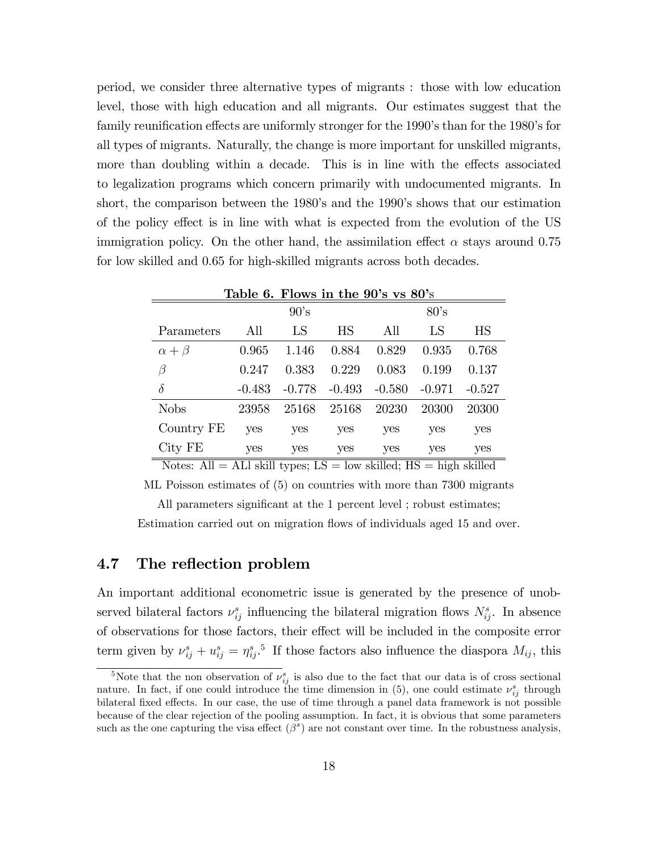period, we consider three alternative types of migrants : those with low education level, those with high education and all migrants. Our estimates suggest that the family reunification effects are uniformly stronger for the 1990's than for the 1980's for all types of migrants. Naturally, the change is more important for unskilled migrants, more than doubling within a decade. This is in line with the effects associated to legalization programs which concern primarily with undocumented migrants. In short, the comparison between the 1980's and the 1990's shows that our estimation of the policy effect is in line with what is expected from the evolution of the US immigration policy. On the other hand, the assimilation effect  $\alpha$  stays around 0.75 for low skilled and 0.65 for high-skilled migrants across both decades.

|                                 |          |          | Table 6. Flows in the $90\text{'s}$ vs $80\text{'s}$ |          |          |          |
|---------------------------------|----------|----------|------------------------------------------------------|----------|----------|----------|
|                                 |          | 90's     |                                                      |          | 80's     |          |
| Parameters                      | All      | LS       | <b>HS</b>                                            | All      | LS       | HS       |
| $\alpha + \beta$                | 0.965    | 1.146    | 0.884                                                | 0.829    | 0.935    | 0.768    |
| $\beta$                         | 0.247    | 0.383    | 0.229                                                | 0.083    | 0.199    | 0.137    |
| $\delta$                        | $-0.483$ | $-0.778$ | $-0.493$                                             | $-0.580$ | $-0.971$ | $-0.527$ |
| <b>Nobs</b>                     | 23958    | 25168    | 25168                                                | 20230    | 20300    | 20300    |
| Country FE                      | yes      | yes      | yes                                                  | yes      | yes      | yes      |
| City FE<br>$\sim$ $\sim$ $\sim$ | yes      | yes      | yes                                                  | yes      | yes      | yes      |

Notes:  $\text{All} = \text{ALl}$  skill types;  $\text{LS} = \text{low}$  skilled;  $\text{HS} = \text{high}$  skilled

ML Poisson estimates of (5) on countries with more than 7300 migrants

All parameters significant at the 1 percent level; robust estimates;

Estimation carried out on migration flows of individuals aged 15 and over.

## 4.7 The reflection problem

An important additional econometric issue is generated by the presence of unobserved bilateral factors  $\nu_{ij}^s$  influencing the bilateral migration flows  $N_{ij}^s$ . In absence of observations for those factors, their effect will be included in the composite error term given by  $\nu_{ij}^s + u_{ij}^s = \eta_{ij}^{s}$ .<sup>5</sup> If those factors also influence the diaspora  $M_{ij}$ , this

<sup>&</sup>lt;sup>5</sup>Note that the non observation of  $\nu_{ij}^s$  is also due to the fact that our data is of cross sectional nature. In fact, if one could introduce the time dimension in (5), one could estimate  $\nu_{ij}^s$  through bilateral fixed effects. In our case, the use of time through a panel data framework is not possible because of the clear rejection of the pooling assumption. In fact, it is obvious that some parameters such as the one capturing the visa effect  $(\beta^s)$  are not constant over time. In the robustness analysis,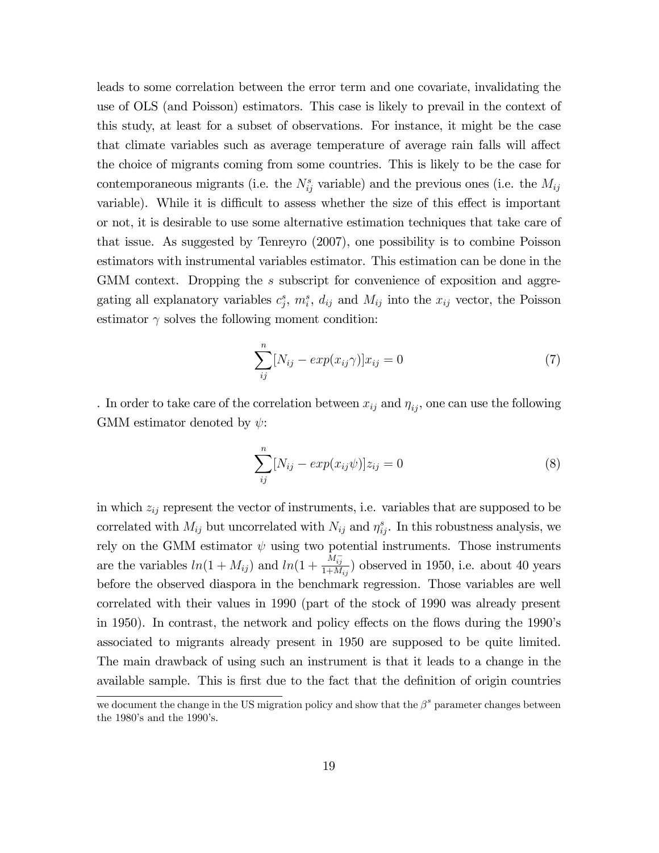leads to some correlation between the error term and one covariate, invalidating the use of OLS (and Poisson) estimators. This case is likely to prevail in the context of this study, at least for a subset of observations. For instance, it might be the case that climate variables such as average temperature of average rain falls will affect the choice of migrants coming from some countries. This is likely to be the case for contemporaneous migrants (i.e. the  $N_{ij}^s$  variable) and the previous ones (i.e. the  $M_{ij}$ variable). While it is difficult to assess whether the size of this effect is important or not, it is desirable to use some alternative estimation techniques that take care of that issue. As suggested by Tenreyro (2007), one possibility is to combine Poisson estimators with instrumental variables estimator. This estimation can be done in the GMM context. Dropping the s subscript for convenience of exposition and aggregating all explanatory variables  $c_j^s$ ,  $m_i^s$ ,  $d_{ij}$  and  $M_{ij}$  into the  $x_{ij}$  vector, the Poisson estimator  $\gamma$  solves the following moment condition:

$$
\sum_{ij}^{n} [N_{ij} - exp(x_{ij}\gamma)]x_{ij} = 0
$$
\n(7)

. In order to take care of the correlation between  $x_{ij}$  and  $\eta_{ij}$ , one can use the following GMM estimator denoted by  $\psi$ :

$$
\sum_{ij}^{n} [N_{ij} - exp(x_{ij}\psi)]z_{ij} = 0
$$
\n(8)

in which  $z_{ij}$  represent the vector of instruments, i.e. variables that are supposed to be correlated with  $M_{ij}$  but uncorrelated with  $N_{ij}$  and  $\eta_{ij}^s$ . In this robustness analysis, we rely on the GMM estimator  $\psi$  using two potential instruments. Those instruments are the variables  $ln(1 + M_{ij})$  and  $ln(1 + \frac{M_{ij}^{-}}{1 + M_{ij}})$  observed in 1950, i.e. about 40 years before the observed diaspora in the benchmark regression. Those variables are well correlated with their values in 1990 (part of the stock of 1990 was already present in 1950). In contrast, the network and policy effects on the flows during the 1990's associated to migrants already present in 1950 are supposed to be quite limited. The main drawback of using such an instrument is that it leads to a change in the available sample. This is first due to the fact that the definition of origin countries

we document the change in the US migration policy and show that the  $\beta^s$  parameter changes between the 1980's and the 1990's.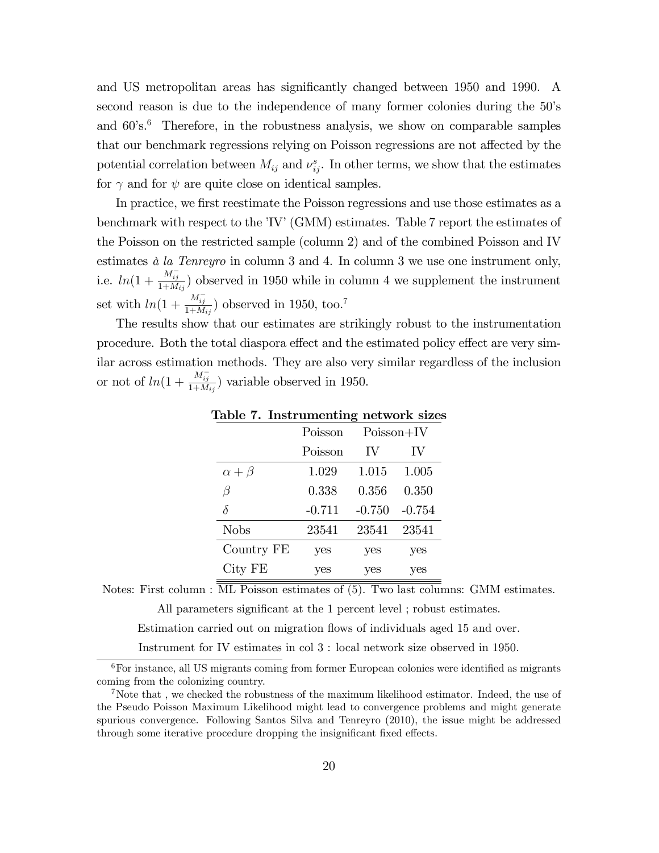and US metropolitan areas has significantly changed between 1950 and 1990. A second reason is due to the independence of many former colonies during the 50's and  $60\text{'s}$ .<sup>6</sup> Therefore, in the robustness analysis, we show on comparable samples that our benchmark regressions relying on Poisson regressions are not affected by the potential correlation between  $M_{ij}$  and  $\nu_{ij}^s$ . In other terms, we show that the estimates for  $\gamma$  and for  $\psi$  are quite close on identical samples.

In practice, we first reestimate the Poisson regressions and use those estimates as a benchmark with respect to the 'IV' (GMM) estimates. Table 7 report the estimates of the Poisson on the restricted sample (column 2) and of the combined Poisson and IV estimates  $\dot{a}$  la Tenreyro in column 3 and 4. In column 3 we use one instrument only, i.e.  $ln(1 + \frac{M_{ij}^{-1}}{1 + M_{ij}})$  observed in 1950 while in column 4 we supplement the instrument set with  $ln(1 + \frac{M_{ij}^{-}}{1 + M_{ij}})$  observed in 1950, too.<sup>7</sup>

The results show that our estimates are strikingly robust to the instrumentation procedure. Both the total diaspora effect and the estimated policy effect are very similar across estimation methods. They are also very similar regardless of the inclusion or not of  $ln(1 + \frac{M_{ij}^{-}}{1 + M_{ij}})$  variable observed in 1950.

|                  | Poisson  | $Poisson+IV$ |          |
|------------------|----------|--------------|----------|
|                  | Poisson  | IV           | IV       |
| $\alpha + \beta$ | 1.029    | 1.015        | 1.005    |
| B                | 0.338    | 0.356        | 0.350    |
| δ                | $-0.711$ | $-0.750$     | $-0.754$ |
| <b>Nobs</b>      | 23541    | 23541        | 23541    |
| Country FE       | yes      | yes          | yes      |
| City FE          | yes      | yes          | yes      |

Table 7. Instrumenting network sizes

Notes: First column : ML Poisson estimates of (5). Two last columns: GMM estimates.

All parameters significant at the 1 percent level ; robust estimates.

Estimation carried out on migration flows of individuals aged 15 and over.

Instrument for IV estimates in col 3 : local network size observed in 1950.

 $6$ For instance, all US migrants coming from former European colonies were identified as migrants coming from the colonizing country.

<sup>&</sup>lt;sup>7</sup>Note that, we checked the robustness of the maximum likelihood estimator. Indeed, the use of the Pseudo Poisson Maximum Likelihood might lead to convergence problems and might generate spurious convergence. Following Santos Silva and Tenreyro (2010), the issue might be addressed through some iterative procedure dropping the insignificant fixed effects.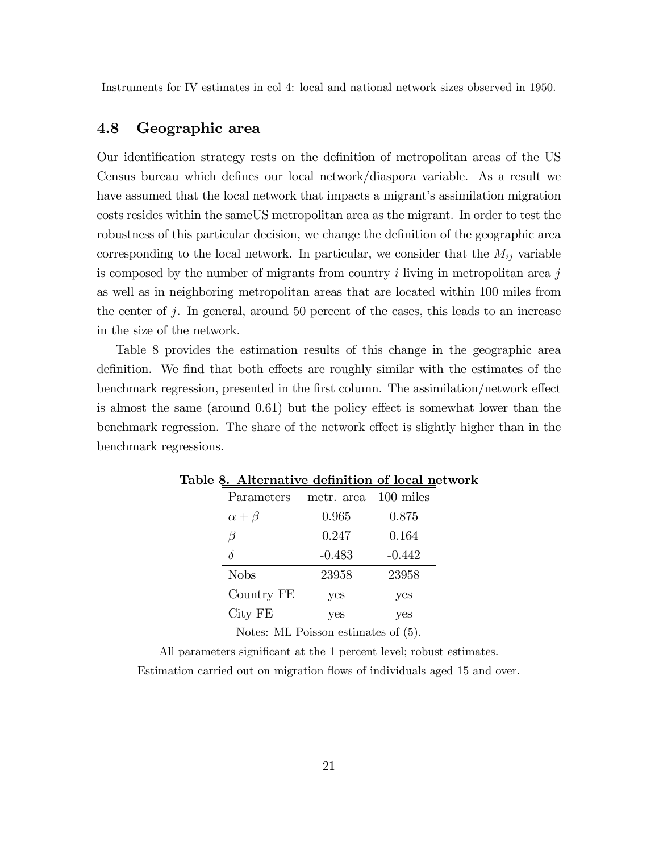Instruments for IV estimates in col 4: local and national network sizes observed in 1950.

#### 4.8 Geographic area

Our identification strategy rests on the definition of metropolitan areas of the US Census bureau which defines our local network/diaspora variable. As a result we have assumed that the local network that impacts a migrant's assimilation migration costs resides within the sameUS metropolitan area as the migrant. In order to test the robustness of this particular decision, we change the definition of the geographic area corresponding to the local network. In particular, we consider that the  $M_{ij}$  variable is composed by the number of migrants from country  $i$  living in metropolitan area  $j$ as well as in neighboring metropolitan areas that are located within 100 miles from the center of j. In general, around 50 percent of the cases, this leads to an increase in the size of the network.

Table 8 provides the estimation results of this change in the geographic area definition. We find that both effects are roughly similar with the estimates of the benchmark regression, presented in the first column. The assimilation/network effect is almost the same (around  $0.61$ ) but the policy effect is somewhat lower than the benchmark regression. The share of the network effect is slightly higher than in the benchmark regressions.

| metr. area | $100$ miles |
|------------|-------------|
| 0.965      | 0.875       |
| 0.247      | 0.164       |
| $-0.483$   | $-0.442$    |
| 23958      | 23958       |
| yes        | yes         |
| yes        | yes         |
|            |             |

Table 8. Alternative definition of local network

Notes: ML Poisson estimates of (5).

All parameters significant at the 1 percent level; robust estimates.

Estimation carried out on migration flows of individuals aged 15 and over.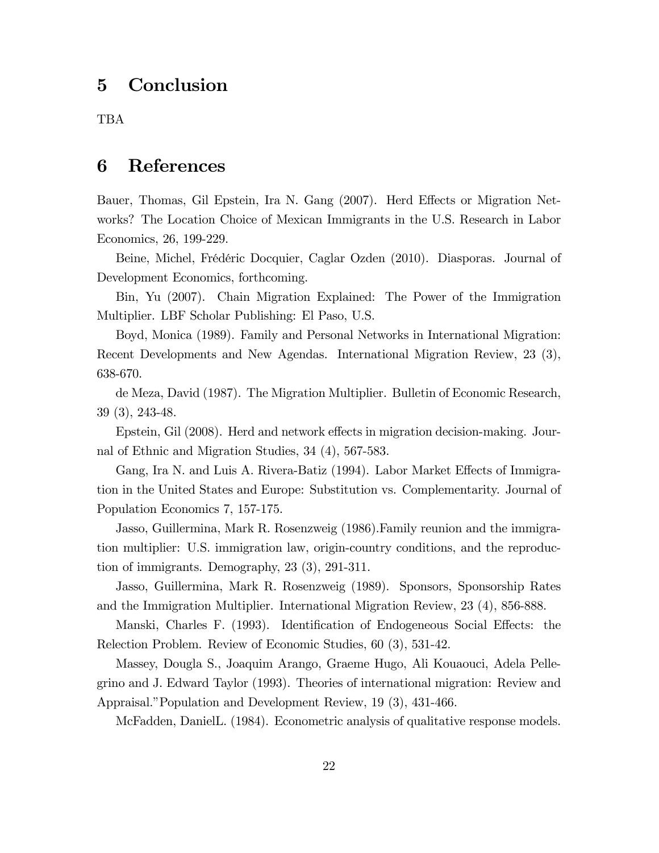## 5 Conclusion

TBA

## 6 References

Bauer, Thomas, Gil Epstein, Ira N. Gang (2007). Herd Effects or Migration Networks? The Location Choice of Mexican Immigrants in the U.S. Research in Labor Economics, 26, 199-229.

Beine, Michel, Frédéric Docquier, Caglar Ozden (2010). Diasporas. Journal of Development Economics, forthcoming.

Bin, Yu (2007). Chain Migration Explained: The Power of the Immigration Multiplier. LBF Scholar Publishing: El Paso, U.S.

Boyd, Monica (1989). Family and Personal Networks in International Migration: Recent Developments and New Agendas. International Migration Review, 23 (3), 638-670.

de Meza, David (1987). The Migration Multiplier. Bulletin of Economic Research, 39 (3), 243-48.

Epstein, Gil (2008). Herd and network effects in migration decision-making. Journal of Ethnic and Migration Studies, 34 (4), 567-583.

Gang, Ira N. and Luis A. Rivera-Batiz (1994). Labor Market Effects of Immigration in the United States and Europe: Substitution vs. Complementarity. Journal of Population Economics 7, 157-175.

Jasso, Guillermina, Mark R. Rosenzweig (1986).Family reunion and the immigration multiplier: U.S. immigration law, origin-country conditions, and the reproduction of immigrants. Demography, 23 (3), 291-311.

Jasso, Guillermina, Mark R. Rosenzweig (1989). Sponsors, Sponsorship Rates and the Immigration Multiplier. International Migration Review, 23 (4), 856-888.

Manski, Charles F. (1993). Identification of Endogeneous Social Effects: the Relection Problem. Review of Economic Studies, 60 (3), 531-42.

Massey, Dougla S., Joaquim Arango, Graeme Hugo, Ali Kouaouci, Adela Pellegrino and J. Edward Taylor (1993). Theories of international migration: Review and Appraisal."Population and Development Review, 19 (3), 431-466.

McFadden, DanielL. (1984). Econometric analysis of qualitative response models.